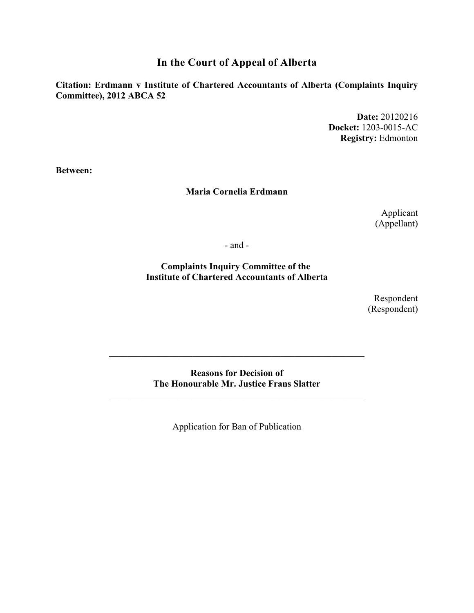**In the Court of Appeal of Alberta**

**Citation: Erdmann v Institute of Chartered Accountants of Alberta (Complaints Inquiry Committee), 2012 ABCA 52**

> **Date:** 20120216 **Docket:** 1203-0015-AC **Registry:** Edmonton

**Between:**

## **Maria Cornelia Erdmann**

Applicant (Appellant)

- and -

**Complaints Inquiry Committee of the Institute of Chartered Accountants of Alberta**

> Respondent (Respondent)

**Reasons for Decision of The Honourable Mr. Justice Frans Slatter**

\_\_\_\_\_\_\_\_\_\_\_\_\_\_\_\_\_\_\_\_\_\_\_\_\_\_\_\_\_\_\_\_\_\_\_\_\_\_\_\_\_\_\_\_\_\_\_\_\_\_\_\_\_\_\_

\_\_\_\_\_\_\_\_\_\_\_\_\_\_\_\_\_\_\_\_\_\_\_\_\_\_\_\_\_\_\_\_\_\_\_\_\_\_\_\_\_\_\_\_\_\_\_\_\_\_\_\_\_\_\_

Application for Ban of Publication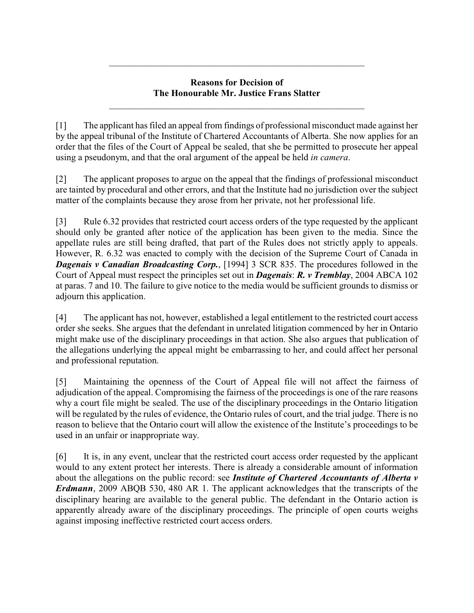## **Reasons for Decision of The Honourable Mr. Justice Frans Slatter**

\_\_\_\_\_\_\_\_\_\_\_\_\_\_\_\_\_\_\_\_\_\_\_\_\_\_\_\_\_\_\_\_\_\_\_\_\_\_\_\_\_\_\_\_\_\_\_\_\_\_\_\_\_\_\_

\_\_\_\_\_\_\_\_\_\_\_\_\_\_\_\_\_\_\_\_\_\_\_\_\_\_\_\_\_\_\_\_\_\_\_\_\_\_\_\_\_\_\_\_\_\_\_\_\_\_\_\_\_\_\_

[1] The applicant has filed an appeal from findings of professional misconduct made against her by the appeal tribunal of the Institute of Chartered Accountants of Alberta. She now applies for an order that the files of the Court of Appeal be sealed, that she be permitted to prosecute her appeal using a pseudonym, and that the oral argument of the appeal be held *in camera*.

[2] The applicant proposes to argue on the appeal that the findings of professional misconduct are tainted by procedural and other errors, and that the Institute had no jurisdiction over the subject matter of the complaints because they arose from her private, not her professional life.

[3] Rule 6.32 provides that restricted court access orders of the type requested by the applicant should only be granted after notice of the application has been given to the media. Since the appellate rules are still being drafted, that part of the Rules does not strictly apply to appeals. However, R. 6.32 was enacted to comply with the decision of the Supreme Court of Canada in *Dagenais v Canadian Broadcasting Corp.*, [1994] 3 SCR 835. The procedures followed in the Court of Appeal must respect the principles set out in *Dagenais*: *R. v Tremblay*, 2004 ABCA 102 at paras. 7 and 10. The failure to give notice to the media would be sufficient grounds to dismiss or adjourn this application.

[4] The applicant has not, however, established a legal entitlement to the restricted court access order she seeks. She argues that the defendant in unrelated litigation commenced by her in Ontario might make use of the disciplinary proceedings in that action. She also argues that publication of the allegations underlying the appeal might be embarrassing to her, and could affect her personal and professional reputation.

[5] Maintaining the openness of the Court of Appeal file will not affect the fairness of adjudication of the appeal. Compromising the fairness of the proceedings is one of the rare reasons why a court file might be sealed. The use of the disciplinary proceedings in the Ontario litigation will be regulated by the rules of evidence, the Ontario rules of court, and the trial judge. There is no reason to believe that the Ontario court will allow the existence of the Institute's proceedings to be used in an unfair or inappropriate way.

[6] It is, in any event, unclear that the restricted court access order requested by the applicant would to any extent protect her interests. There is already a considerable amount of information about the allegations on the public record: see *Institute of Chartered Accountants of Alberta v Erdmann*, 2009 ABQB 530, 480 AR 1. The applicant acknowledges that the transcripts of the disciplinary hearing are available to the general public. The defendant in the Ontario action is apparently already aware of the disciplinary proceedings. The principle of open courts weighs against imposing ineffective restricted court access orders.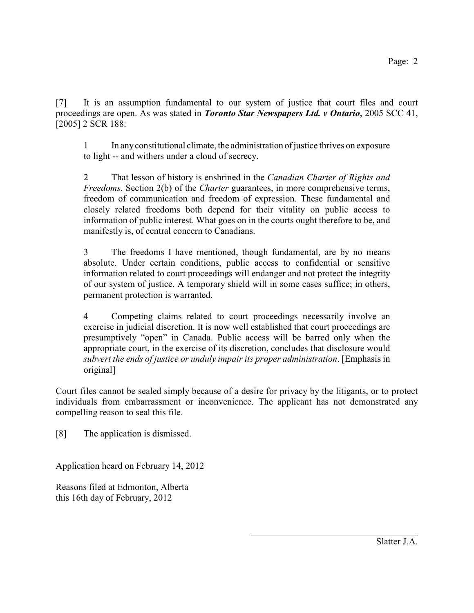[7] It is an assumption fundamental to our system of justice that court files and court proceedings are open. As was stated in *Toronto Star Newspapers Ltd. v Ontario*, 2005 SCC 41, [2005] 2 SCR 188:

1 In any constitutional climate, the administration of justice thrives on exposure to light -- and withers under a cloud of secrecy.

2 That lesson of history is enshrined in the *Canadian Charter of Rights and Freedoms*. Section 2(b) of the *Charter* guarantees, in more comprehensive terms, freedom of communication and freedom of expression. These fundamental and closely related freedoms both depend for their vitality on public access to information of public interest. What goes on in the courts ought therefore to be, and manifestly is, of central concern to Canadians.

3 The freedoms I have mentioned, though fundamental, are by no means absolute. Under certain conditions, public access to confidential or sensitive information related to court proceedings will endanger and not protect the integrity of our system of justice. A temporary shield will in some cases suffice; in others, permanent protection is warranted.

4 Competing claims related to court proceedings necessarily involve an exercise in judicial discretion. It is now well established that court proceedings are presumptively "open" in Canada. Public access will be barred only when the appropriate court, in the exercise of its discretion, concludes that disclosure would *subvert the ends of justice or unduly impair its proper administration*. [Emphasis in original]

Court files cannot be sealed simply because of a desire for privacy by the litigants, or to protect individuals from embarrassment or inconvenience. The applicant has not demonstrated any compelling reason to seal this file.

[8] The application is dismissed.

Application heard on February 14, 2012

Reasons filed at Edmonton, Alberta this 16th day of February, 2012